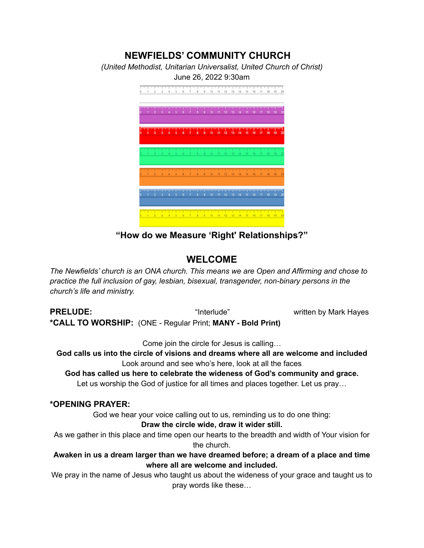# **NEWFIELDS' COMMUNITY CHURCH** *(United Methodist, Unitarian Universalist, United Church of Christ)* June 26, 2022 9:30am 3 4 5 6 7 8 9 10 11 12 13 14 15 16 17 18  $6$  7 8 9 10 11 12  $12345678910112131415161718193$

**"How do we Measure 'Right' Relationships?"**

## **WELCOME**

*The Newfields' church is an ONA church. This means we are Open and Affirming and chose to practice the full inclusion of gay, lesbian, bisexual, transgender, non-binary persons in the church's life and ministry.*

**PRELUDE:** "Interlude" written by Mark Hayes **\*CALL TO WORSHIP:** (ONE - Regular Print; **MANY - Bold Print)**

Come join the circle for Jesus is calling…

**God calls us into the circle of visions and dreams where all are welcome and included** Look around and see who's here, look at all the faces

**God has called us here to celebrate the wideness of God's community and grace.** Let us worship the God of justice for all times and places together. Let us pray…

## **\*OPENING PRAYER:**

God we hear your voice calling out to us, reminding us to do one thing:

**Draw the circle wide, draw it wider still.**

As we gather in this place and time open our hearts to the breadth and width of Your vision for the church.

**Awaken in us a dream larger than we have dreamed before; a dream of a place and time where all are welcome and included.**

We pray in the name of Jesus who taught us about the wideness of your grace and taught us to pray words like these…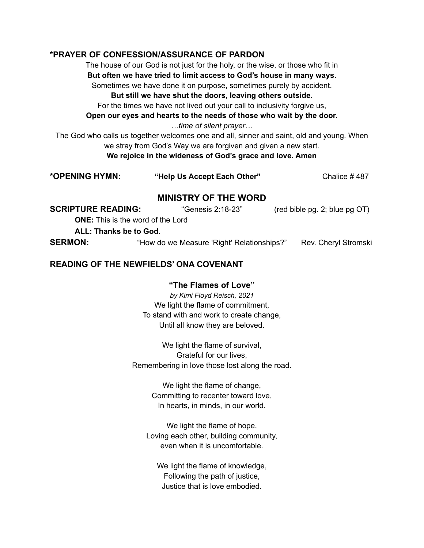#### **\*PRAYER OF CONFESSION/ASSURANCE OF PARDON**

The house of our God is not just for the holy, or the wise, or those who fit in **But often we have tried to limit access to God's house in many ways.** Sometimes we have done it on purpose, sometimes purely by accident.

#### **But still we have shut the doors, leaving others outside.**

For the times we have not lived out your call to inclusivity forgive us,

**Open our eyes and hearts to the needs of those who wait by the door.**

*…time of silent prayer…*

The God who calls us together welcomes one and all, sinner and saint, old and young. When we stray from God's Way we are forgiven and given a new start. **We rejoice in the wideness of God's grace and love. Amen**

| *OPENING HYMN: | "Help Us Accept Each Other" | Chalice #487 |
|----------------|-----------------------------|--------------|
|----------------|-----------------------------|--------------|

## **MINISTRY OF THE WORD**

| <b>SCRIPTURE READING:</b> | "Genesis 2:18-23"                          | $(\text{red~bible~pg. 2; blue~pg~OT})$ |
|---------------------------|--------------------------------------------|----------------------------------------|
|                           | <b>ONE:</b> This is the word of the Lord   |                                        |
| ALL: Thanks be to God.    |                                            |                                        |
| <b>SERMON:</b>            | "How do we Measure 'Right' Relationships?" | Rev. Cheryl Stromski                   |

#### **READING OF THE NEWFIELDS' ONA COVENANT**

#### **"The Flames of Love"**

*by Kimi Floyd Reisch, 2021* We light the flame of commitment, To stand with and work to create change, Until all know they are beloved.

We light the flame of survival, Grateful for our lives, Remembering in love those lost along the road.

> We light the flame of change, Committing to recenter toward love, In hearts, in minds, in our world.

We light the flame of hope, Loving each other, building community, even when it is uncomfortable.

We light the flame of knowledge, Following the path of justice, Justice that is love embodied.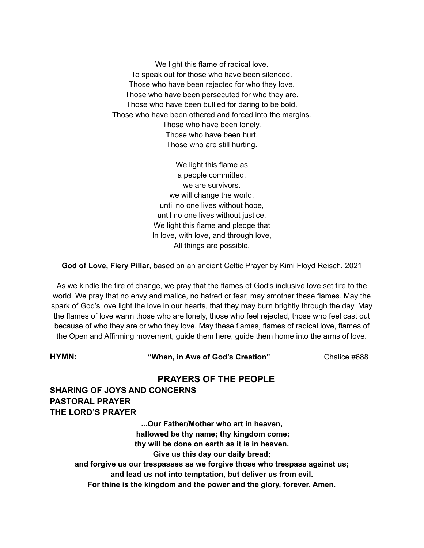We light this flame of radical love. To speak out for those who have been silenced. Those who have been rejected for who they love. Those who have been persecuted for who they are. Those who have been bullied for daring to be bold. Those who have been othered and forced into the margins. Those who have been lonely. Those who have been hurt. Those who are still hurting.

> We light this flame as a people committed, we are survivors. we will change the world, until no one lives without hope, until no one lives without justice. We light this flame and pledge that In love, with love, and through love, All things are possible.

**God of Love, Fiery Pillar**, based on an ancient Celtic Prayer by Kimi Floyd Reisch, 2021

As we kindle the fire of change, we pray that the flames of God's inclusive love set fire to the world. We pray that no envy and malice, no hatred or fear, may smother these flames. May the spark of God's love light the love in our hearts, that they may burn brightly through the day. May the flames of love warm those who are lonely, those who feel rejected, those who feel cast out because of who they are or who they love. May these flames, flames of radical love, flames of the Open and Affirming movement, guide them here, guide them home into the arms of love.

**HYMN: "When, in Awe of God's Creation"** Chalice #688

## **PRAYERS OF THE PEOPLE**

**SHARING OF JOYS AND CONCERNS PASTORAL PRAYER THE LORD'S PRAYER**

> **...Our Father/Mother who art in heaven, hallowed be thy name; thy kingdom come; thy will be done on earth as it is in heaven. Give us this day our daily bread; and forgive us our trespasses as we forgive those who trespass against us; and lead us not into temptation, but deliver us from evil. For thine is the kingdom and the power and the glory, forever. Amen.**